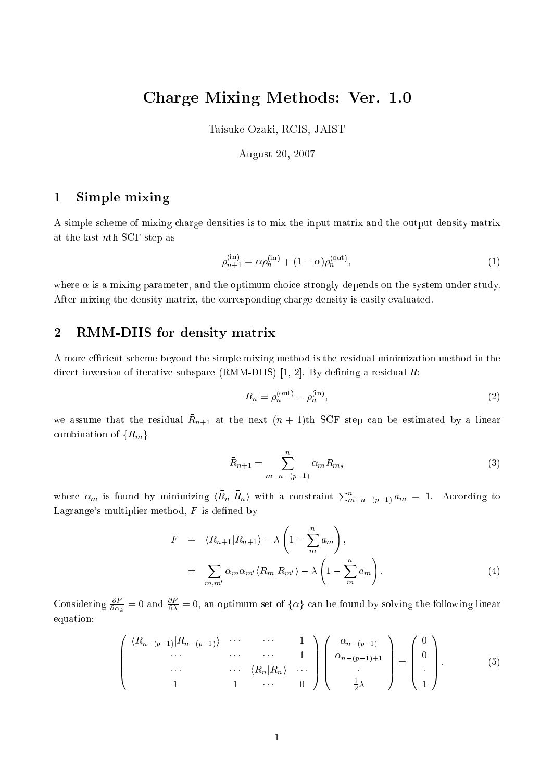# Charge Mixing Methods: Ver. 1.0

Taisuke Ozaki, RCIS, JAIST

# August 20, 2007

### 1Simple mixing

A simple s
heme of mixing harge densities is to mix the input matrix and the output density matrix at the last nth SCF step as

$$
\rho_{n+1}^{(\text{in})} = \alpha \rho_n^{(\text{in})} + (1 - \alpha) \rho_n^{(\text{out})},\tag{1}
$$

where  $\alpha$  is a mixing parameter, and the optimum choice strongly depends on the system under study. After mixing the density matrix, the orresponding harge density is easily evaluated.

## 2RMM-DIIS for density matrix

A more efficient scheme beyond the simple mixing method is the residual minimization method in the direct inversion of iterative subspace (RMM-DIIS) [1, 2]. By defining a residual R:

$$
R_n \equiv \rho_n^{\text{(out)}} - \rho_n^{\text{(in)}},\tag{2}
$$

we assume that the residual  $n_{n+1}$  at the next  $(n+1)$ th SCF step can be estimated by a linear combination of  $\{R_m\}$ 

$$
\bar{R}_{n+1} = \sum_{m=n-(p-1)}^{n} \alpha_m R_m,
$$
\n(3)

where  $\alpha_m$  is found by minimizing  $\langle R_n|R_n\rangle$  with a constraint  $\sum_{m=n-(p-1)}^n a_m = 1$ . According to Lagrange's multiplier method,  $F$  is defined by

$$
F = \langle \bar{R}_{n+1} | \bar{R}_{n+1} \rangle - \lambda \left( 1 - \sum_{m=1}^{n} a_m \right),
$$
  

$$
= \sum_{m,m'} \alpha_m \alpha_{m'} \langle R_m | R_{m'} \rangle - \lambda \left( 1 - \sum_{m=1}^{n} a_m \right).
$$
 (4)

Considering  $\frac{\partial}{\partial \alpha_k} = 0$  and  $\frac{\partial}{\partial \lambda} = 0$ , an optimum set of  $\{\alpha\}$  can be found by solving the following linear equation:

$$
\begin{pmatrix}\n\langle R_{n-(p-1)}|R_{n-(p-1)}\rangle & \cdots & \cdots & 1 \\
\vdots & \vdots & \ddots & \vdots \\
\vdots & \vdots & \ddots & \vdots \\
1 & 1 & \cdots & 0\n\end{pmatrix}\n\begin{pmatrix}\n\alpha_{n-(p-1)} \\
\alpha_{n-(p-1)+1} \\
\vdots \\
\alpha_{n-(p-1)+1} \\
\vdots \\
1\n\end{pmatrix} = \begin{pmatrix}\n0 \\
0 \\
\vdots \\
1\n\end{pmatrix}.
$$
\n(5)